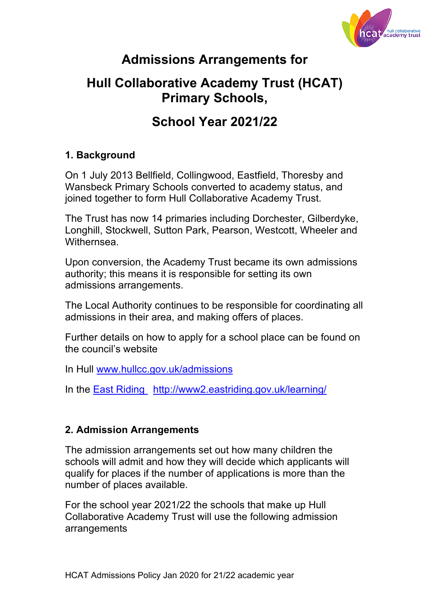

# **Admissions Arrangements for**

## **Hull Collaborative Academy Trust (HCAT) Primary Schools,**

# **School Year 2021/22**

### **1. Background**

On 1 July 2013 Bellfield, Collingwood, Eastfield, Thoresby and Wansbeck Primary Schools converted to academy status, and joined together to form Hull Collaborative Academy Trust.

The Trust has now 14 primaries including Dorchester, Gilberdyke, Longhill, Stockwell, Sutton Park, Pearson, Westcott, Wheeler and Withernsea.

Upon conversion, the Academy Trust became its own admissions authority; this means it is responsible for setting its own admissions arrangements.

The Local Authority continues to be responsible for coordinating all admissions in their area, and making offers of places.

Further details on how to apply for a school place can be found on the council's website

In Hull www.hullcc.gov.uk/admissions

In the East Riding http://www2.eastriding.gov.uk/learning/

#### **2. Admission Arrangements**

The admission arrangements set out how many children the schools will admit and how they will decide which applicants will qualify for places if the number of applications is more than the number of places available.

For the school year 2021/22 the schools that make up Hull Collaborative Academy Trust will use the following admission arrangements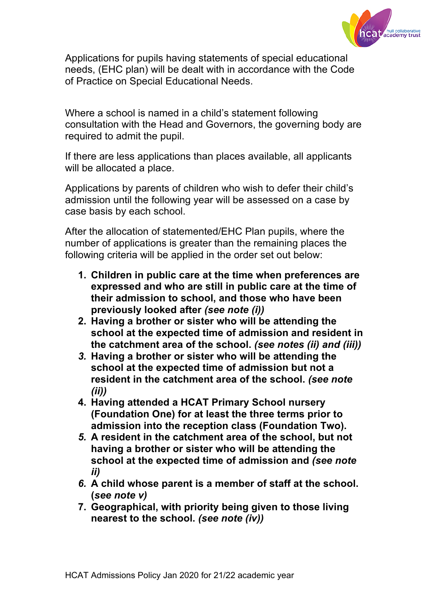

Applications for pupils having statements of special educational needs, (EHC plan) will be dealt with in accordance with the Code of Practice on Special Educational Needs.

Where a school is named in a child's statement following consultation with the Head and Governors, the governing body are required to admit the pupil.

If there are less applications than places available, all applicants will be allocated a place.

Applications by parents of children who wish to defer their child's admission until the following year will be assessed on a case by case basis by each school.

After the allocation of statemented/EHC Plan pupils, where the number of applications is greater than the remaining places the following criteria will be applied in the order set out below:

- **1. Children in public care at the time when preferences are expressed and who are still in public care at the time of their admission to school, and those who have been previously looked after** *(see note (i))*
- **2. Having a brother or sister who will be attending the school at the expected time of admission and resident in the catchment area of the school.** *(see notes (ii) and (iii))*
- *3.* **Having a brother or sister who will be attending the school at the expected time of admission but not a resident in the catchment area of the school.** *(see note (ii))*
- **4. Having attended a HCAT Primary School nursery (Foundation One) for at least the three terms prior to admission into the reception class (Foundation Two).**
- *5.* **A resident in the catchment area of the school, but not having a brother or sister who will be attending the school at the expected time of admission and** *(see note ii)*
- *6.* **A child whose parent is a member of staff at the school. (***see note v)*
- **7. Geographical, with priority being given to those living nearest to the school.** *(see note (iv))*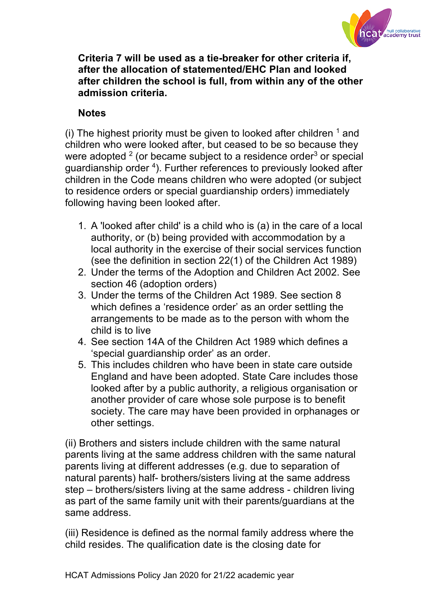

**Criteria 7 will be used as a tie-breaker for other criteria if, after the allocation of statemented/EHC Plan and looked after children the school is full, from within any of the other admission criteria.** 

### **Notes**

(i) The highest priority must be given to looked after children  $<sup>1</sup>$  and</sup> children who were looked after, but ceased to be so because they were adopted  $2$  (or became subject to a residence order $3$  or special guardianship order <sup>4</sup>). Further references to previously looked after children in the Code means children who were adopted (or subject to residence orders or special guardianship orders) immediately following having been looked after.

- 1. A 'looked after child' is a child who is (a) in the care of a local authority, or (b) being provided with accommodation by a local authority in the exercise of their social services function (see the definition in section 22(1) of the Children Act 1989)
- 2. Under the terms of the Adoption and Children Act 2002. See section 46 (adoption orders)
- 3. Under the terms of the Children Act 1989. See section 8 which defines a 'residence order' as an order settling the arrangements to be made as to the person with whom the child is to live
- 4. See section 14A of the Children Act 1989 which defines a 'special guardianship order' as an order.
- 5. This includes children who have been in state care outside England and have been adopted. State Care includes those looked after by a public authority, a religious organisation or another provider of care whose sole purpose is to benefit society. The care may have been provided in orphanages or other settings.

(ii) Brothers and sisters include children with the same natural parents living at the same address children with the same natural parents living at different addresses (e.g. due to separation of natural parents) half- brothers/sisters living at the same address step – brothers/sisters living at the same address - children living as part of the same family unit with their parents/guardians at the same address.

(iii) Residence is defined as the normal family address where the child resides. The qualification date is the closing date for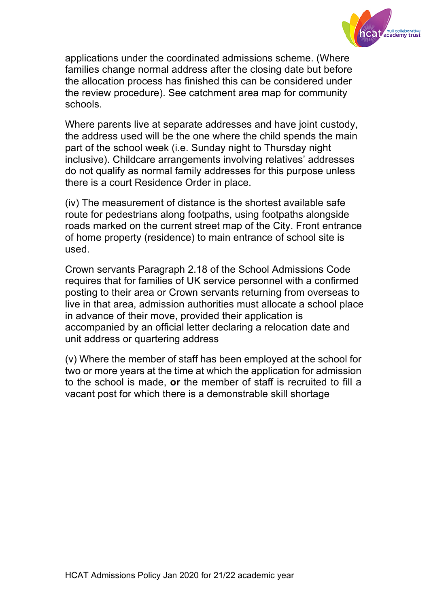

applications under the coordinated admissions scheme. (Where families change normal address after the closing date but before the allocation process has finished this can be considered under the review procedure). See catchment area map for community schools.

Where parents live at separate addresses and have joint custody, the address used will be the one where the child spends the main part of the school week (i.e. Sunday night to Thursday night inclusive). Childcare arrangements involving relatives' addresses do not qualify as normal family addresses for this purpose unless there is a court Residence Order in place.

(iv) The measurement of distance is the shortest available safe route for pedestrians along footpaths, using footpaths alongside roads marked on the current street map of the City. Front entrance of home property (residence) to main entrance of school site is used.

Crown servants Paragraph 2.18 of the School Admissions Code requires that for families of UK service personnel with a confirmed posting to their area or Crown servants returning from overseas to live in that area, admission authorities must allocate a school place in advance of their move, provided their application is accompanied by an official letter declaring a relocation date and unit address or quartering address

(v) Where the member of staff has been employed at the school for two or more years at the time at which the application for admission to the school is made, **or** the member of staff is recruited to fill a vacant post for which there is a demonstrable skill shortage